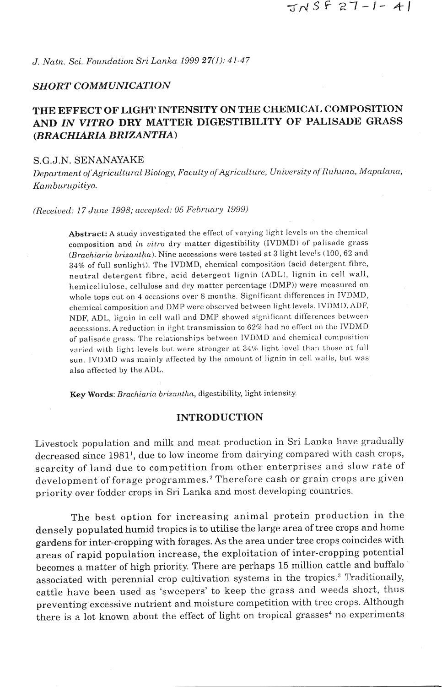J. Natn. Sci. Foundation Sri Lanka 1999 27(1): 41-47

#### **SHORT COMMUNICATION**

# THE EFFECT OF LIGHT INTENSITY ON THE CHEMICAL COMPOSITION AND IN VITRO DRY MATTER DIGESTIBILITY OF PALISADE GRASS (BRACHIARIA BRIZANTHA)

## S.G.J.N. SENANAYAKE

Department of Agricultural Biology, Faculty of Agriculture, University of Ruhuna, Mapalana, Kamburupitiya.

(Received: 17 June 1998; accepted: 05 February 1999)

Abstract: A study investigated the effect of varying light levels on the chemical composition and in vitro dry matter digestibility (IVDMD) of palisade grass (Brachiaria brizantha). Nine accessions were tested at 3 light levels (100, 62 and 34% of full sunlight). The IVDMD, chemical composition (acid detergent fibre, neutral detergent fibre, acid detergent lignin (ADL), lignin in cell wall, hemicellulose, cellulose and dry matter percentage (DMP)) were measured on whole tops cut on 4 occasions over 8 months. Significant differences in IVDMD, chemical composition and DMP were observed between light levels. IVDMD, ADF, NDF. ADL. lignin in cell wall and DMP showed significant differences between accessions. A reduction in light transmission to 62% had no effect on the IVDMD of palisade grass. The relationships between IVDMD and chemical composition varied with light levels but were stronger at 34% light level than those at full sun. IVDMD was mainly affected by the amount of lignin in cell walls, but was also affected by the ADL.

Key Words: Brachiaria brizantha, digestibility, light intensity.

#### **INTRODUCTION**

Livestock population and milk and meat production in Sri Lanka have gradually decreased since 1981<sup>1</sup>, due to low income from dairying compared with cash crops, scarcity of land due to competition from other enterprises and slow rate of development of forage programmes.<sup>2</sup> Therefore cash or grain crops are given priority over fodder crops in Sri Lanka and most developing countries.

The best option for increasing animal protein production in the densely populated humid tropics is to utilise the large area of tree crops and home gardens for inter-cropping with forages. As the area under tree crops coincides with areas of rapid population increase, the exploitation of inter-cropping potential becomes a matter of high priority. There are perhaps 15 million cattle and buffalo associated with perennial crop cultivation systems in the tropics.<sup>3</sup> Traditionally, cattle have been used as 'sweepers' to keep the grass and weeds short, thus preventing excessive nutrient and moisture competition with tree crops. Although there is a lot known about the effect of light on tropical grasses<sup>4</sup> no experiments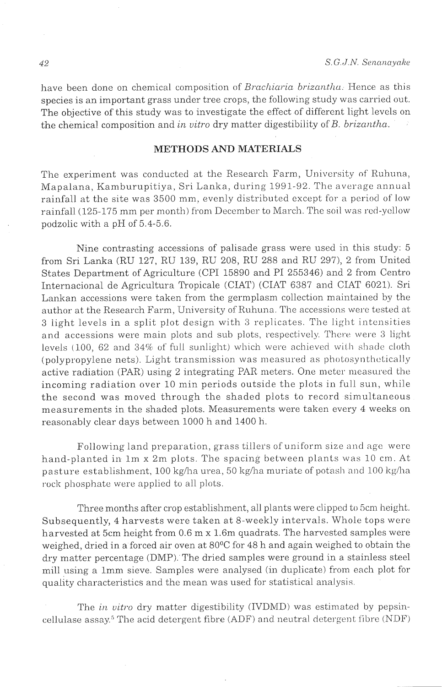have been done on chemical composition of *Brachiaria brizantha*. Hence as this species is an important grass under tree crops, the following study was carried out. The objective of this study was to investigate the effect of different light levcls on the chemical composition and *in vitro* dry matter digestibility of *B. brizantha.* 

## **METHODS AND MATERIALS**

The experiment was conducted at the Research Farm, University of Ruhuna, Mapalana, Kamburupitiya, Sri Lanka, during 1991-92. The average annual rainfall at the site was 3500 mm. evenly distributed except for a period of low rainfall (125-175 mm per month) from December to March. The soil was red-yellow podzolic with a pH of 5.4-5.6.

Nine contrasting accessions of palisade grass were used in this study: 5 from Sri Lanka (RU 127, RU 139, RU 208, RU 288 and RU 297), 2 from United States Department of Agriculture (CPI 15890 and PI 255346) and 2 from Centro International de Agricultura Tropicale (CIAT) (CIAT 6387 and CIAT 6021). Sri Lankan accessions were taken from the germplasm collection maintained by the author at the Research Farm, University of Ruhuna. The accessions were tested at 3 light levels in a split plot design with *3* replicates. The light intensities and accessions were main plots and sub plots, respectively. There were 3 light levels (100, 62 and  $34\%$  of full sunlight) which were achieved with shade cloth (polypropylene nets). Light transmission was measured as photosynthetically active radiation (PAR) using 2 integrating PAR meters. One meter measured the incoming radiation over 10 min periods outside the plots in full sun, while the second was moved through the shaded plots to record simultaneous measurements in the shaded plots. Measurements were taken every 4 weeks on reasonably clear days between 1000 h and 1400 h.

Following land preparation, grass tillers of uniform size and agc werc hand-planted in lm x 2m plots. The spacing between plants was 10 cm. At pasture establishment, 100 kg/ha urea, 50 kg/ha muriate of potash and 100 kg/ha rock phosphate were applied to all plots.

Three months after crop establishment, all plants were clipped to 5cm height. Subsequently, 4 harvests were taken at 8-weekly intervals. Whole tops were harvested at 5cm height from 0.6 m x 1.6m quadrats. The harvested samples were weighed, dried in a forced air oven at 80°C for 48 h and again weighed to obtain the dry matter percentage (DMP). The dried samples were ground in a stainless steel mill using a 1mm sieve. Samples were analysed (in duplicate) from each plot for quality characteristics and the mean was used for statistical analysis.

The *in uitro* dry matter digestibility (IVDMD) was estimated by pepsincellulase assay.<sup>5</sup> The acid detergent fibre (ADF) and neutral detergent fibre (NDF)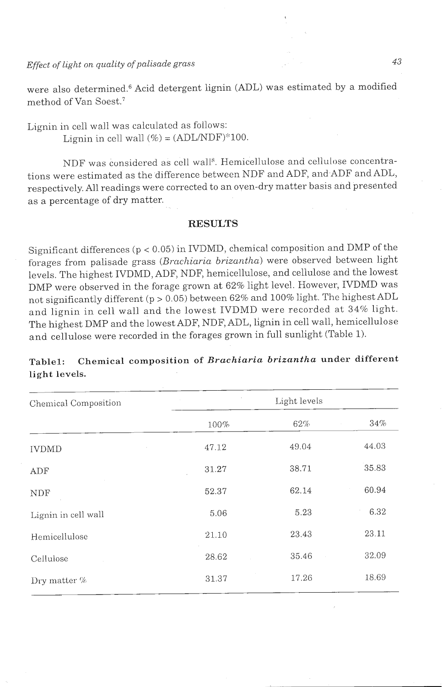*Effect of light on quality of palisade grass*  $43$ 

were also determined.<sup>6</sup> Acid detergent lignin (ADL) was estimated by a modified method of Van Soest.<sup>7</sup>

Lignin in cell wall was calculated as fbllows: Lignin in cell wall  $% = (ADL/NDF)$  \* 100.

NDF was considered as cell wall". Hemicellulose and cellulose concentrations were estimated as the difference between NDF and ADF, and ADF and ADL, respectively. All readings were corrected to an oven-dry matter basis and presented as a percentage of dry matter.

#### **RESULTS**

Significant differences ( $p < 0.05$ ) in IVDMD, chemical composition and DMP of the forages from palisade grass (Brachiaria brizantha) were observed between light levels. The highest IVDMD, ADF, NDF, hemicellulose, and cellulose and the lowest DMP were observed in the forage grown at 62% light level. However, IVDMD was not significantly different (p > 0.05) between 62% and 100% light. The highest ADL and lignin in cell wall and the lowest IVDMD were recorded at 34% light. The highest DMP and the lowest ADF, NDF, ADL, lignin in cell wall, hemicellulose and cellulose were recorded in the forages grown in full sunlight (Table 1).

| ngne revers.         |              |       |       |  |  |  |
|----------------------|--------------|-------|-------|--|--|--|
| Chemical Composition | Light levels |       |       |  |  |  |
|                      | 100%         | 62%   | 34%   |  |  |  |
| <b>IVDMD</b>         | 47.12        | 49.04 | 44.03 |  |  |  |
| ADF                  | 31.27        | 38.71 | 35.83 |  |  |  |
| NDF                  | 52.37        | 62.14 | 60.94 |  |  |  |
| Lignin in cell wall  | 5.06         | 5.23  | 6.32  |  |  |  |
| Hemicellulose        | 21.10        | 23.43 | 23.11 |  |  |  |
| Cellulose            | 28.62        | 35.46 | 32.09 |  |  |  |
| Dry matter $%$       | 31.37        | 17.26 | 18.69 |  |  |  |

## Table1: Chemical composition of *Brachiaria brizantha* under different **light levels.**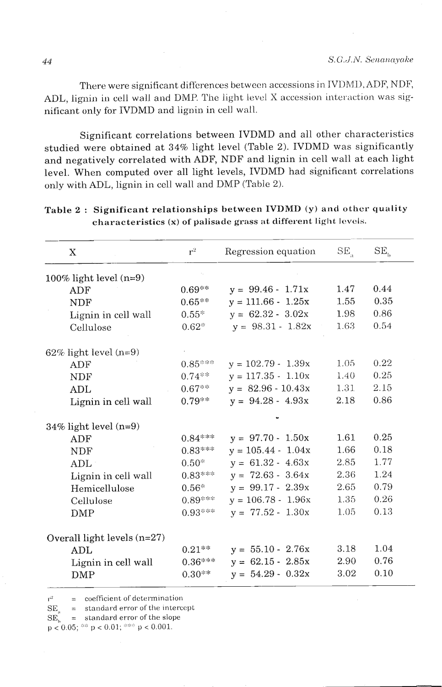There were significant differences between accessions in IVDMD, ADF, NDF, ADL, lignin in cell wall and DMP. The light level X accession interaction was significant only for IVDMD and lignin in cell wall.

Significant correlations between IVDMD and all other characteristics studied were obtained at 34% light level (Table 2). IVDMD was significantly and negatively correlated with ADF, NDF and lignin in cell wall at each light level. When computed over all light levels, IVDMD had significant correlations only with ADL, lignin in cell wall and DMP (Table 2).

| X                             | $r^2$     | Regression equation  | $SE_{n}$ | SE <sub>h</sub> |
|-------------------------------|-----------|----------------------|----------|-----------------|
| 100% light level $(n=9)$      |           |                      |          |                 |
| ADF                           | $0.69***$ | $y = 99.46 - 1.71x$  | 1.47     | 0.44            |
| NDF                           | $0.65***$ | $y = 111.66 - 1.25x$ | 1.55     | 0.35            |
| Lignin in cell wall           | $0.55*$   | $y = 62.32 - 3.02x$  | 1.98     | 0.86            |
| Cellulose                     | $0.62*$   | $y = 98.31 - 1.82x$  | 1.63     | 0.54            |
| $62\%$ light level (n=9)      |           |                      |          |                 |
| ADF                           | $0.85***$ | $y = 102.79 - 1.39x$ | 1.05     | 0.22            |
| <b>NDF</b>                    | $0.74***$ | $y = 117.35 - 1.10x$ | 1.40     | 0.25            |
| ADL                           | $0.67***$ | $y = 82.96 - 10.43x$ | 1.31     | 2.15            |
| Lignin in cell wall           | $0.79**$  | $y = 94.28 - 4.93x$  | 2.18     | 0.86            |
| $34\%$ light level (n=9)      |           |                      |          |                 |
| ADF                           | $0.84***$ | $y = 97.70 - 1.50x$  | 1.61     | 0.25            |
| <b>NDF</b>                    | $0.83***$ | $y = 105.44 - 1.04x$ | 1.66     | 0.18            |
| ADL                           | $0.50*$   | $y = 61.32 - 4.63x$  | 2.85     | 1.77            |
| Lignin in cell wall           | $0.83***$ | $y = 72.63 - 3.64x$  | 2.36     | 1.24            |
| Hemicellulose                 | $0.56*$   | $y = 99.17 - 2.39x$  | 2.65     | 0.79            |
| Cellulose                     | $0.89***$ | $y = 106.78 - 1.96x$ | 1.35     | 0.26            |
| DMP                           | $0.93***$ | $y = 77.52 - 1.30x$  | 1.05     | 0.13            |
| Overall light levels $(n=27)$ |           |                      |          |                 |
| <b>ADL</b>                    | $0.21***$ | $y = 55.10 - 2.76x$  | 3.18     | 1.04            |
| Lignin in cell wall           | $0.36***$ | $y = 62.15 - 2.85x$  | 2.90     | 0.76            |
| DMP                           | $0.30**$  | $y = 54.29 - 0.32x$  | 3.02     | 0.10            |

Table 2 : Significant relationships between IVDMD (y) and other quality **characteristics (x) of palisade grass at different light** levels.

 $y^2$  = coefficient of determination<br>SE = standard error of the intercept  $r^2$ 

 $\widetilde{\text{SE}}_{\text{b}}^{\text{a}} = \text{standard error of the slope} \ \text{p} < 0.05;$ <sup>358</sup> p < 0.01; <sup>3589</sup> p < 0.001.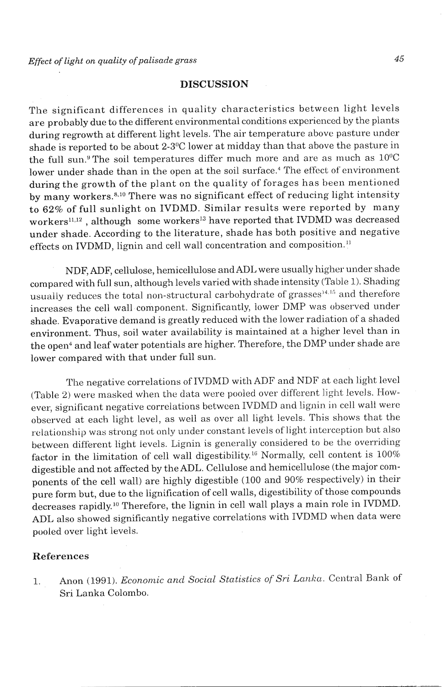## **DISCUSSION**

The significant differences in quality characteristics between light levels are probably due to the different environmental conditions experienced by the plants during regrowth at different light levels. The air temperature above pasture under shade is reported to be about 2-3°C lower at midday than that above the pasture in the full sun.<sup>9</sup> The soil temperatures differ much more and are as much as  $10^{\circ}$ C lower under shade than in the open at the soil surface.<sup>4</sup> The effect of environment during the growth of the plant on the quality of forages has been mentioned by many workers.<sup>8,10</sup> There was no significant effect of reducing light intensity to *62%* of full sunlight on IVDMD. Similar results were reported by many workers<sup>11,12</sup>, although some workers<sup>13</sup> have reported that IVDMD was decreased under shade. According to the literature, shade has both positive and negative effects on IVDMD, lignin and cell wall concentration and composition."

NDF, **ADF,** cellulose, hemicellulose and ADL were usually higher under shade compared with full sun, although levels varied with shade intensity (Table 1). Shading usually reduces the total non-structural carbohydrate of grasses<sup>14,15</sup> and therefore increases the cell wall component. Significantly, lower DMP was observed under shade. Evaporative demand is greatly reduced with the lower radiation of a shaded environment. Thus, soil water availability is maintained at a higher level than in the open<sup>4</sup> and leaf water potentials are higher. Therefore, the DMP under shade are lower compared with that under full sun.

The negative correlations of IVDMD with ADF and NDF at each light level (Table 2) were masked when the data were pooled over different light levels. However, significant negative correlations between IVDMD and lignin in cell wall were observed at each light level, as well as over all light levels. This shows that the relationship was strong not only under constant levels of light interception but also between different light levels. Lignin is generally considered to be the overriding factor in the limitation of cell wall digestibility.<sup>16</sup> Normally, cell content is  $100\%$ digestible and not affected by the ADL. Cellulose and hemicellulose (the major components of the cell wall) are highly digestible (100 and 90% respectively) in their pure form but, due to the lignification of cell walls, digestibility of those compounds decreases rapidly.<sup>10</sup> Therefore, the lignin in cell wall plays a main role in IVDMD. ADL also showed significantly negative correlations with IVDMD when data were pooled over light levels.

#### **References**

1. Anon (1991). Economic and Social Statistics of Sri Lanka. Central Bank of Sri Lanka Colombo.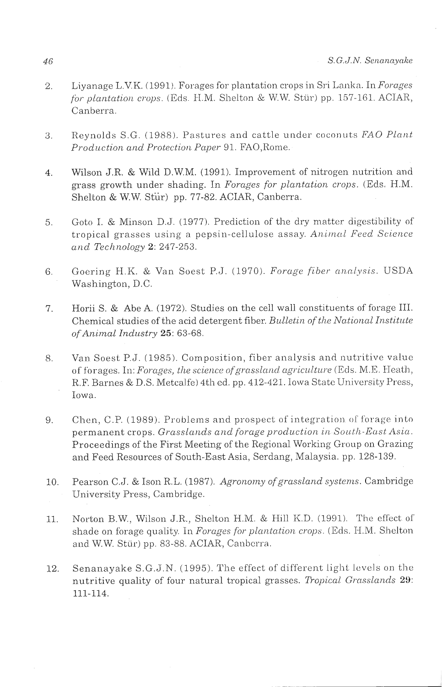- Liyanage L.V.K. (1991). Forages for plantation crops in Sri Lanka. In Forages  $\overline{2}$ . for plantation crops. (Eds. H.M. Shelton & W.W. Stür) pp. 157-161. ACIAR, Canberra
- Reynolds S.G. (1988). Pastures and cattle under coconuts FAO Plant  $\overline{3}$ . Production and Protection Paper 91. FAO, Rome.
- Wilson J.R. & Wild D.W.M. (1991). Improvement of nitrogen nutrition and  $\overline{4}$ . grass growth under shading. In Forages for plantation crops. (Eds. H.M. Shelton & W.W. Stür) pp. 77-82. ACIAR, Canberra.
- Goto I. & Minson D.J. (1977). Prediction of the dry matter digestibility of  $5.$ tropical grasses using a pepsin-cellulose assay. Animal Feed Science and Technology 2: 247-253.
- Goering H.K. & Van Soest P.J. (1970). Forage fiber analysis. USDA 6. Washington, D.C.
- Horii S. & Abe A. (1972). Studies on the cell wall constituents of forage III.  $7.$ Chemical studies of the acid detergent fiber, Bulletin of the National Institute of Animal Industry 25: 63-68.
- Van Soest P.J. (1985). Composition, fiber analysis and nutritive value 8. of forages. In: Forages, the science of grassland agriculture (Eds. M.E. Heath, R.F. Barnes & D.S. Metcalfe) 4th ed. pp. 412-421. Iowa State University Press, Iowa.
- Chen, C.P. (1989). Problems and prospect of integration of forage into 9. permanent crops. Grasslands and forage production in South-East Asia. Proceedings of the First Meeting of the Regional Working Group on Grazing and Feed Resources of South-East Asia, Serdang, Malaysia. pp. 128-139.
- Pearson C.J. & Ison R.L. (1987). Agronomy of grassland systems. Cambridge 10. University Press, Cambridge.
- Norton B.W., Wilson J.R., Shelton H.M. & Hill K.D. (1991). The effect of  $11.$ shade on forage quality. In Forages for plantation crops. (Eds. H.M. Shelton and W.W. Stür) pp. 83-88. ACIAR, Canberra.
- Senanayake S.G.J.N. (1995). The effect of different light levels on the 12. nutritive quality of four natural tropical grasses. Tropical Grasslands 29: 111-114.